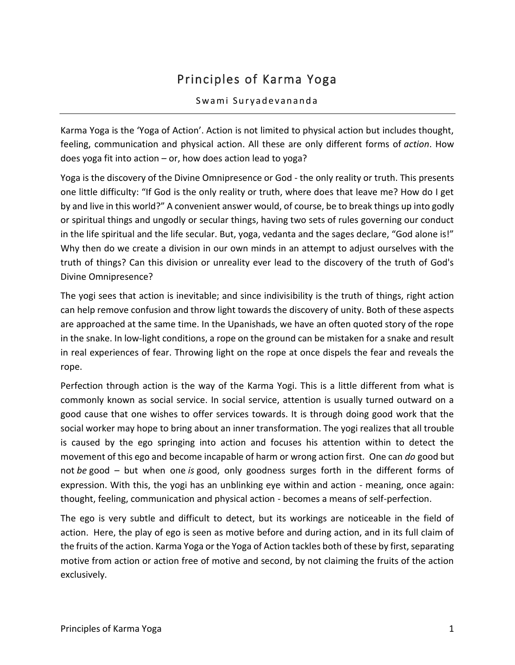# Principles of Karma Yoga

#### Swami Suryadevananda

Karma Yoga is the 'Yoga of Action'. Action is not limited to physical action but includes thought, feeling, communication and physical action. All these are only different forms of *action*. How does yoga fit into action – or, how does action lead to yoga?

Yoga is the discovery of the Divine Omnipresence or God - the only reality or truth. This presents one little difficulty: "If God is the only reality or truth, where does that leave me? How do I get by and live in this world?" A convenient answer would, of course, be to break things up into godly or spiritual things and ungodly or secular things, having two sets of rules governing our conduct in the life spiritual and the life secular. But, yoga, vedanta and the sages declare, "God alone is!" Why then do we create a division in our own minds in an attempt to adjust ourselves with the truth of things? Can this division or unreality ever lead to the discovery of the truth of God's Divine Omnipresence?

The yogi sees that action is inevitable; and since indivisibility is the truth of things, right action can help remove confusion and throw light towards the discovery of unity. Both of these aspects are approached at the same time. In the Upanishads, we have an often quoted story of the rope in the snake. In low-light conditions, a rope on the ground can be mistaken for a snake and result in real experiences of fear. Throwing light on the rope at once dispels the fear and reveals the rope.

Perfection through action is the way of the Karma Yogi. This is a little different from what is commonly known as social service. In social service, attention is usually turned outward on a good cause that one wishes to offer services towards. It is through doing good work that the social worker may hope to bring about an inner transformation. The yogi realizes that all trouble is caused by the ego springing into action and focuses his attention within to detect the movement of this ego and become incapable of harm or wrong action first. One can *do* good but not *be* good – but when one *is* good, only goodness surges forth in the different forms of expression. With this, the yogi has an unblinking eye within and action - meaning, once again: thought, feeling, communication and physical action - becomes a means of self-perfection.

The ego is very subtle and difficult to detect, but its workings are noticeable in the field of action. Here, the play of ego is seen as motive before and during action, and in its full claim of the fruits of the action. Karma Yoga or the Yoga of Action tackles both of these by first, separating motive from action or action free of motive and second, by not claiming the fruits of the action exclusively.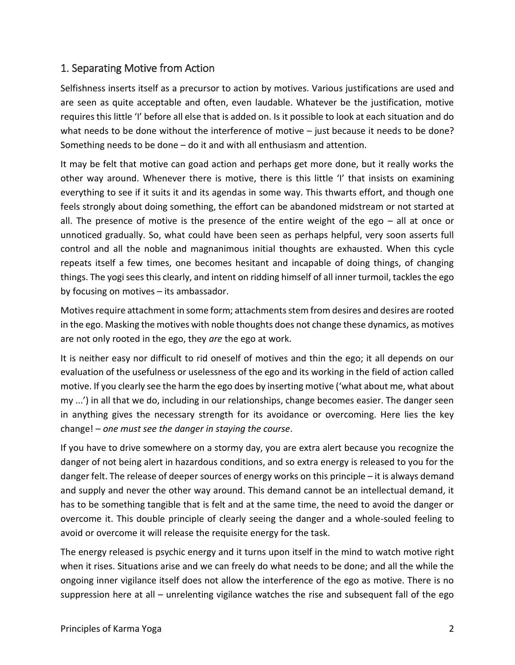### 1. Separating Motive from Action

Selfishness inserts itself as a precursor to action by motives. Various justifications are used and are seen as quite acceptable and often, even laudable. Whatever be the justification, motive requires this little 'I' before all else that is added on. Is it possible to look at each situation and do what needs to be done without the interference of motive – just because it needs to be done? Something needs to be done – do it and with all enthusiasm and attention.

It may be felt that motive can goad action and perhaps get more done, but it really works the other way around. Whenever there is motive, there is this little 'I' that insists on examining everything to see if it suits it and its agendas in some way. This thwarts effort, and though one feels strongly about doing something, the effort can be abandoned midstream or not started at all. The presence of motive is the presence of the entire weight of the ego – all at once or unnoticed gradually. So, what could have been seen as perhaps helpful, very soon asserts full control and all the noble and magnanimous initial thoughts are exhausted. When this cycle repeats itself a few times, one becomes hesitant and incapable of doing things, of changing things. The yogi sees this clearly, and intent on ridding himself of all inner turmoil, tackles the ego by focusing on motives – its ambassador.

Motives require attachment in some form; attachments stem from desires and desires are rooted in the ego. Masking the motives with noble thoughts does not change these dynamics, as motives are not only rooted in the ego, they *are* the ego at work.

It is neither easy nor difficult to rid oneself of motives and thin the ego; it all depends on our evaluation of the usefulness or uselessness of the ego and its working in the field of action called motive. If you clearly see the harm the ego does by inserting motive ('what about me, what about my ...') in all that we do, including in our relationships, change becomes easier. The danger seen in anything gives the necessary strength for its avoidance or overcoming. Here lies the key change! – *one must see the danger in staying the course*.

If you have to drive somewhere on a stormy day, you are extra alert because you recognize the danger of not being alert in hazardous conditions, and so extra energy is released to you for the danger felt. The release of deeper sources of energy works on this principle – it is always demand and supply and never the other way around. This demand cannot be an intellectual demand, it has to be something tangible that is felt and at the same time, the need to avoid the danger or overcome it. This double principle of clearly seeing the danger and a whole-souled feeling to avoid or overcome it will release the requisite energy for the task.

The energy released is psychic energy and it turns upon itself in the mind to watch motive right when it rises. Situations arise and we can freely do what needs to be done; and all the while the ongoing inner vigilance itself does not allow the interference of the ego as motive. There is no suppression here at all – unrelenting vigilance watches the rise and subsequent fall of the ego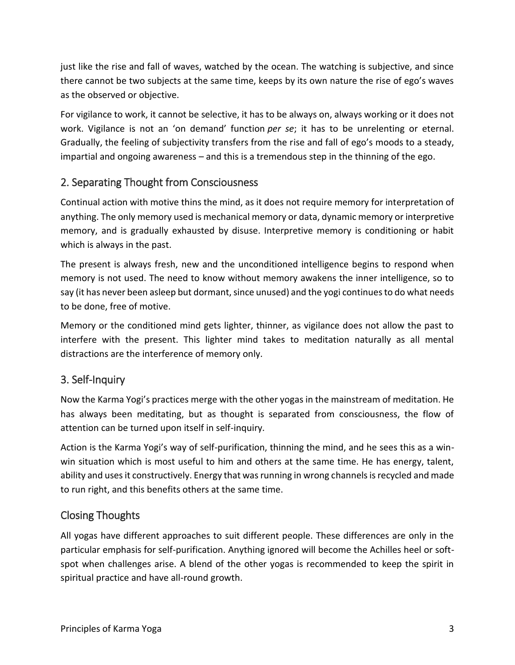just like the rise and fall of waves, watched by the ocean. The watching is subjective, and since there cannot be two subjects at the same time, keeps by its own nature the rise of ego's waves as the observed or objective.

For vigilance to work, it cannot be selective, it has to be always on, always working or it does not work. Vigilance is not an 'on demand' function *per se*; it has to be unrelenting or eternal. Gradually, the feeling of subjectivity transfers from the rise and fall of ego's moods to a steady, impartial and ongoing awareness – and this is a tremendous step in the thinning of the ego.

## 2. Separating Thought from Consciousness

Continual action with motive thins the mind, as it does not require memory for interpretation of anything. The only memory used is mechanical memory or data, dynamic memory or interpretive memory, and is gradually exhausted by disuse. Interpretive memory is conditioning or habit which is always in the past.

The present is always fresh, new and the unconditioned intelligence begins to respond when memory is not used. The need to know without memory awakens the inner intelligence, so to say (it has never been asleep but dormant, since unused) and the yogi continues to do what needs to be done, free of motive.

Memory or the conditioned mind gets lighter, thinner, as vigilance does not allow the past to interfere with the present. This lighter mind takes to meditation naturally as all mental distractions are the interference of memory only.

# 3. Self-Inquiry

Now the Karma Yogi's practices merge with the other yogas in the mainstream of meditation. He has always been meditating, but as thought is separated from consciousness, the flow of attention can be turned upon itself in self-inquiry.

Action is the Karma Yogi's way of self-purification, thinning the mind, and he sees this as a winwin situation which is most useful to him and others at the same time. He has energy, talent, ability and uses it constructively. Energy that was running in wrong channels is recycled and made to run right, and this benefits others at the same time.

### Closing Thoughts

All yogas have different approaches to suit different people. These differences are only in the particular emphasis for self-purification. Anything ignored will become the Achilles heel or softspot when challenges arise. A blend of the other yogas is recommended to keep the spirit in spiritual practice and have all-round growth.